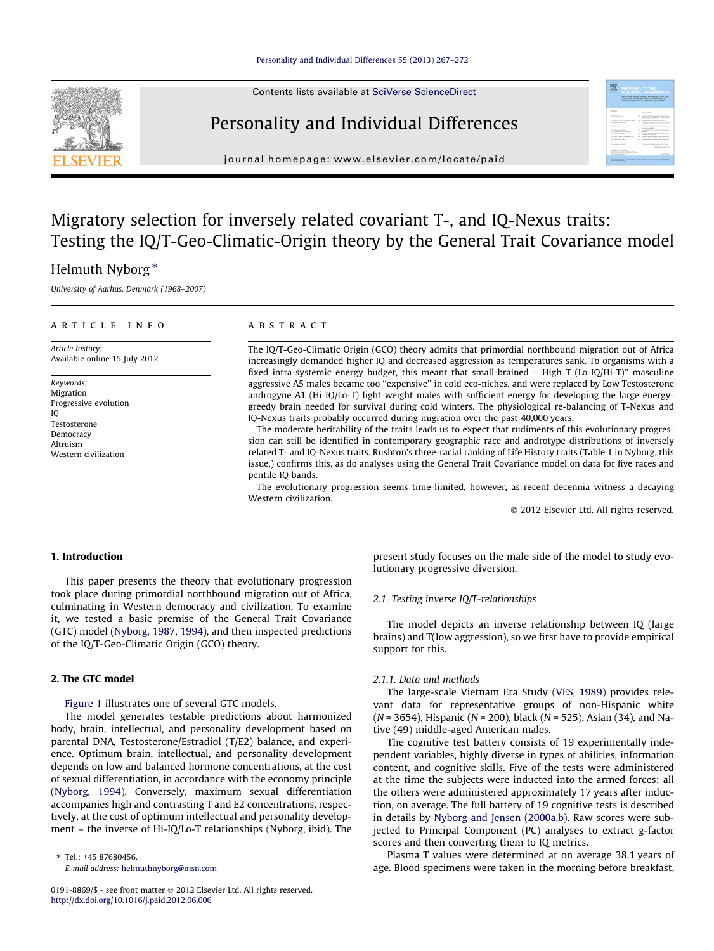# Contents lists available at [SciVerse ScienceDirect](http://www.sciencedirect.com/science/journal/01918869)

# Personality and Individual Differences

journal homepage: [www.elsevier.com/locate/paid](http://www.elsevier.com/locate/paid)



# Helmuth Nyborg  $*$

University of Aarhus, Denmark (1968–2007)

#### article info

Article history: Available online 15 July 2012

Keywords: Migration Progressive evolution IQ Testosterone Democracy Altruism Western civilization

#### **ABSTRACT**

The IQ/T-Geo-Climatic Origin (GCO) theory admits that primordial northbound migration out of Africa increasingly demanded higher IQ and decreased aggression as temperatures sank. To organisms with a fixed intra-systemic energy budget, this meant that small-brained – High T (Lo-IQ/Hi-T)'' masculine aggressive A5 males became too "expensive" in cold eco-niches, and were replaced by Low Testosterone androgyne A1 (Hi-IQ/Lo-T) light-weight males with sufficient energy for developing the large energygreedy brain needed for survival during cold winters. The physiological re-balancing of T-Nexus and IQ-Nexus traits probably occurred during migration over the past 40,000 years.

The moderate heritability of the traits leads us to expect that rudiments of this evolutionary progression can still be identified in contemporary geographic race and androtype distributions of inversely related T- and IQ-Nexus traits. Rushton's three-racial ranking of Life History traits (Table 1 in Nyborg, this issue,) confirms this, as do analyses using the General Trait Covariance model on data for five races and pentile IQ bands.

The evolutionary progression seems time-limited, however, as recent decennia witness a decaying Western civilization.

- 2012 Elsevier Ltd. All rights reserved.

AN INTERNATIONAL JOURNAL OF RESEARCH AND

# 1. Introduction

This paper presents the theory that evolutionary progression took place during primordial northbound migration out of Africa, culminating in Western democracy and civilization. To examine it, we tested a basic premise of the General Trait Covariance (GTC) model [\(Nyborg, 1987, 1994\)](#page-5-0), and then inspected predictions of the IQ/T-Geo-Climatic Origin (GCO) theory.

#### 2. The GTC model

[Figure 1](#page-1-0) illustrates one of several GTC models.

The model generates testable predictions about harmonized body, brain, intellectual, and personality development based on parental DNA, Testosterone/Estradiol (T/E2) balance, and experience. Optimum brain, intellectual, and personality development depends on low and balanced hormone concentrations, at the cost of sexual differentiation, in accordance with the economy principle ([Nyborg, 1994\)](#page-5-0). Conversely, maximum sexual differentiation accompanies high and contrasting T and E2 concentrations, respectively, at the cost of optimum intellectual and personality development – the inverse of Hi-IQ/Lo-T relationships (Nyborg, ibid). The

 $*$  Tel: +45 87680456 E-mail address: [helmuthnyborg@msn.com](mailto:helmuthnyborg@msn.com) present study focuses on the male side of the model to study evolutionary progressive diversion.

# 2.1. Testing inverse IQ/T-relationships

The model depicts an inverse relationship between IQ (large brains) and T(low aggression), so we first have to provide empirical support for this.

# 2.1.1. Data and methods

The large-scale Vietnam Era Study ([VES, 1989\)](#page-5-0) provides relevant data for representative groups of non-Hispanic white  $(N = 3654)$ , Hispanic ( $N = 200$ ), black ( $N = 525$ ), Asian (34), and Native (49) middle-aged American males.

The cognitive test battery consists of 19 experimentally independent variables, highly diverse in types of abilities, information content, and cognitive skills. Five of the tests were administered at the time the subjects were inducted into the armed forces; all the others were administered approximately 17 years after induction, on average. The full battery of 19 cognitive tests is described in details by [Nyborg and Jensen \(2000a,b\)](#page-5-0). Raw scores were subjected to Principal Component (PC) analyses to extract g-factor scores and then converting them to IQ metrics.

Plasma T values were determined at on average 38.1 years of age. Blood specimens were taken in the morning before breakfast,

<sup>0191-8869/\$ -</sup> see front matter © 2012 Elsevier Ltd. All rights reserved. <http://dx.doi.org/10.1016/j.paid.2012.06.006>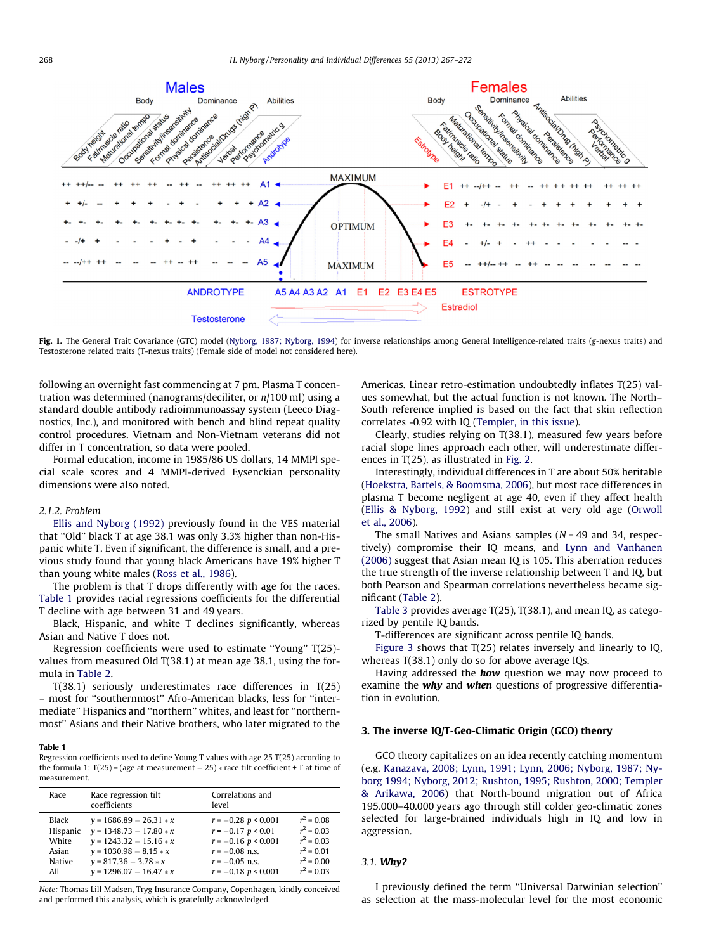<span id="page-1-0"></span>

Fig. 1. The General Trait Covariance (GTC) model [\(Nyborg, 1987; Nyborg, 1994](#page-5-0)) for inverse relationships among General Intelligence-related traits (g-nexus traits) and Testosterone related traits (T-nexus traits) (Female side of model not considered here).

following an overnight fast commencing at 7 pm. Plasma T concentration was determined (nanograms/deciliter, or n/100 ml) using a standard double antibody radioimmunoassay system (Leeco Diagnostics, Inc.), and monitored with bench and blind repeat quality control procedures. Vietnam and Non-Vietnam veterans did not differ in T concentration, so data were pooled.

Formal education, income in 1985/86 US dollars, 14 MMPI special scale scores and 4 MMPI-derived Eysenckian personality dimensions were also noted.

# 2.1.2. Problem

[Ellis and Nyborg \(1992\)](#page-5-0) previously found in the VES material that ''Old'' black T at age 38.1 was only 3.3% higher than non-Hispanic white T. Even if significant, the difference is small, and a previous study found that young black Americans have 19% higher T than young white males ([Ross et al., 1986\)](#page-5-0).

The problem is that T drops differently with age for the races. Table 1 provides racial regressions coefficients for the differential T decline with age between 31 and 49 years.

Black, Hispanic, and white T declines significantly, whereas Asian and Native T does not.

Regression coefficients were used to estimate ''Young'' T(25) values from measured Old T(38.1) at mean age 38.1, using the formula in [Table 2](#page-2-0).

T(38.1) seriously underestimates race differences in T(25) – most for ''southernmost'' Afro-American blacks, less for ''intermediate'' Hispanics and ''northern'' whites, and least for ''northernmost'' Asians and their Native brothers, who later migrated to the

#### Table 1

Regression coefficients used to define Young T values with age 25 T(25) according to the formula 1: T(25) = (age at measurement  $-$  25)  $*$  race tilt coefficient + T at time of measurement.

| Race     | Race regression tilt<br>coefficients | Correlations and<br>level |              |
|----------|--------------------------------------|---------------------------|--------------|
| Black    | $v = 1686.89 - 26.31 * x$            | $r = -0.28 p < 0.001$     | $r^2 = 0.08$ |
| Hispanic | $v = 1348.73 - 17.80 * x$            | $r = -0.17 p < 0.01$      | $r^2 = 0.03$ |
| White    | $y = 1243.32 - 15.16 \times x$       | $r = -0.16 p < 0.001$     | $r^2 = 0.03$ |
| Asian    | $v = 1030.98 - 8.15 * x$             | $r = -0.08$ n.s.          | $r^2 = 0.01$ |
| Native   | $v = 817.36 - 3.78 * x$              | $r = -0.05$ n.s.          | $r^2 = 0.00$ |
| All      | $y = 1296.07 - 16.47 * x$            | $r = -0.18 p < 0.001$     | $r^2 = 0.03$ |

Note: Thomas Lill Madsen, Tryg Insurance Company, Copenhagen, kindly conceived and performed this analysis, which is gratefully acknowledged.

Americas. Linear retro-estimation undoubtedly inflates T(25) values somewhat, but the actual function is not known. The North– South reference implied is based on the fact that skin reflection correlates -0.92 with IQ ([Templer, in this issue](#page-5-0)).

Clearly, studies relying on T(38.1), measured few years before racial slope lines approach each other, will underestimate differences in T(25), as illustrated in [Fig. 2.](#page-2-0)

Interestingly, individual differences in T are about 50% heritable ([Hoekstra, Bartels, & Boomsma, 2006\)](#page-5-0), but most race differences in plasma T become negligent at age 40, even if they affect health ([Ellis & Nyborg, 1992\)](#page-5-0) and still exist at very old age [\(Orwoll](#page-5-0) [et al., 2006\)](#page-5-0).

The small Natives and Asians samples  $(N = 49)$  and 34, respectively) compromise their IQ means, and [Lynn and Vanhanen](#page-5-0) [\(2006\)](#page-5-0) suggest that Asian mean IQ is 105. This aberration reduces the true strength of the inverse relationship between T and IQ, but both Pearson and Spearman correlations nevertheless became significant [\(Table 2\)](#page-2-0).

[Table 3](#page-2-0) provides average T(25), T(38.1), and mean IQ, as categorized by pentile IQ bands.

T-differences are significant across pentile IQ bands.

[Figure 3](#page-3-0) shows that T(25) relates inversely and linearly to IQ, whereas T(38.1) only do so for above average IQs.

Having addressed the **how** question we may now proceed to examine the why and when questions of progressive differentiation in evolution.

# 3. The inverse IQ/T-Geo-Climatic Origin (GCO) theory

GCO theory capitalizes on an idea recently catching momentum (e.g. [Kanazava, 2008; Lynn, 1991; Lynn, 2006; Nyborg, 1987; Ny](#page-5-0)[borg 1994; Nyborg, 2012; Rushton, 1995; Rushton, 2000; Templer](#page-5-0) [& Arikawa, 2006\)](#page-5-0) that North-bound migration out of Africa 195.000–40.000 years ago through still colder geo-climatic zones selected for large-brained individuals high in IQ and low in aggression.

# 3.1. Why?

I previously defined the term ''Universal Darwinian selection'' as selection at the mass-molecular level for the most economic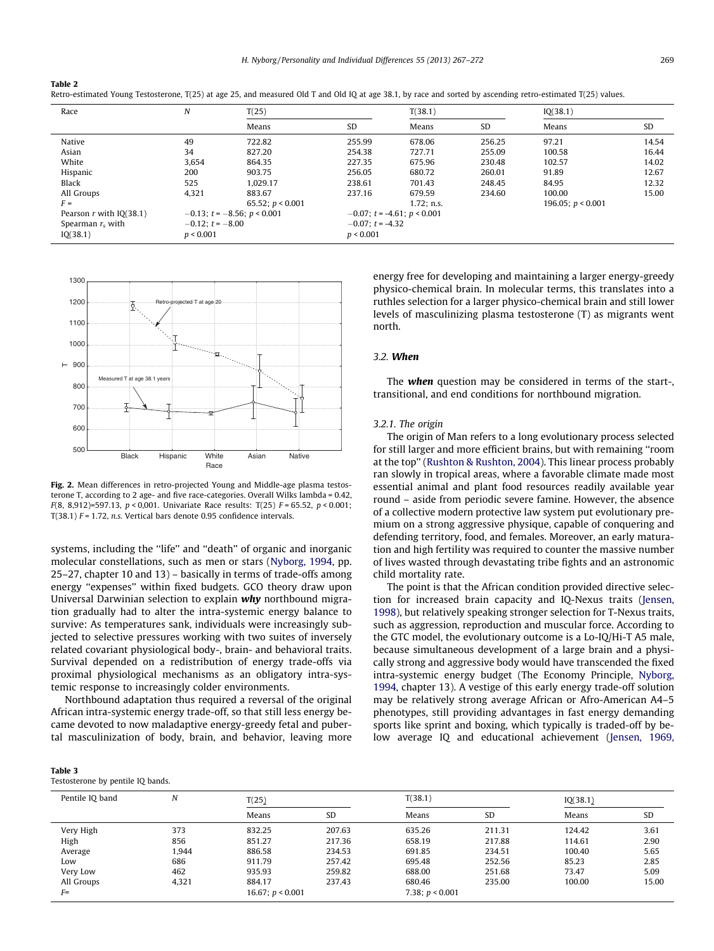H. Nyborg / Personality and Individual Differences 55 (2013) 267-272

<span id="page-2-0"></span>

|--|--|

Retro-estimated Young Testosterone, T(25) at age 25, and measured Old T and Old IQ at age 38.1, by race and sorted by ascending retro-estimated T(25) values.

| Race                        | N                                   | T(25)              |                       | T(38.1)                        |        | IQ(38.1)            |       |  |
|-----------------------------|-------------------------------------|--------------------|-----------------------|--------------------------------|--------|---------------------|-------|--|
|                             |                                     | Means              | SD                    | Means                          | SD     | Means               | SD    |  |
| Native                      | 49                                  | 722.82             | 255.99                | 678.06                         | 256.25 | 97.21               | 14.54 |  |
| Asian                       | 34                                  | 827.20             | 254.38                | 727.71                         | 255.09 | 100.58              | 16.44 |  |
| White                       | 3.654                               | 864.35             | 227.35                | 675.96                         | 230.48 | 102.57              | 14.02 |  |
| Hispanic                    | 200                                 | 903.75             | 256.05                | 680.72                         | 260.01 | 91.89               | 12.67 |  |
| Black                       | 525                                 | 1.029.17           | 238.61                | 701.43                         | 248.45 | 84.95               | 12.32 |  |
| All Groups                  | 4,321                               | 883.67             | 237.16                | 679.59                         | 234.60 | 100.00              | 15.00 |  |
| $F =$                       |                                     | 65.52; $p < 0.001$ |                       | $1.72:$ n.s.                   |        | 196.05; $p < 0.001$ |       |  |
| Pearson $r$ with $IQ(38.1)$ | $-0.13$ ; $t = -8.56$ ; $p < 0.001$ |                    |                       | $-0.07$ ; t = -4.61; p < 0.001 |        |                     |       |  |
| Spearman $r_s$ with         | $-0.12$ : $t = -8.00$               |                    | $-0.07$ : $t = -4.32$ |                                |        |                     |       |  |
| IO(38.1)                    | p < 0.001                           |                    | p < 0.001             |                                |        |                     |       |  |



Fig. 2. Mean differences in retro-projected Young and Middle-age plasma testosterone T, according to 2 age- and five race-categories. Overall Wilks lambda = 0.42, F(8, 8,912)=597.13,  $p < 0.001$ . Univariate Race results: T(25)  $F = 65.52$ ,  $p < 0.001$ ;  $T(38.1)$  F = 1.72, n.s. Vertical bars denote 0.95 confidence intervals.

systems, including the ''life'' and ''death'' of organic and inorganic molecular constellations, such as men or stars ([Nyborg, 1994](#page-5-0), pp. 25–27, chapter 10 and 13) – basically in terms of trade-offs among energy ''expenses'' within fixed budgets. GCO theory draw upon Universal Darwinian selection to explain why northbound migration gradually had to alter the intra-systemic energy balance to survive: As temperatures sank, individuals were increasingly subjected to selective pressures working with two suites of inversely related covariant physiological body-, brain- and behavioral traits. Survival depended on a redistribution of energy trade-offs via proximal physiological mechanisms as an obligatory intra-systemic response to increasingly colder environments.

Northbound adaptation thus required a reversal of the original African intra-systemic energy trade-off, so that still less energy became devoted to now maladaptive energy-greedy fetal and pubertal masculinization of body, brain, and behavior, leaving more

| Testosterone by pentile IQ bands. |  |  |  |  |
|-----------------------------------|--|--|--|--|
|-----------------------------------|--|--|--|--|

energy free for developing and maintaining a larger energy-greedy physico-chemical brain. In molecular terms, this translates into a ruthles selection for a larger physico-chemical brain and still lower levels of masculinizing plasma testosterone (T) as migrants went north.

# 3.2. When

The **when** question may be considered in terms of the start-, transitional, and end conditions for northbound migration.

#### 3.2.1. The origin

The origin of Man refers to a long evolutionary process selected for still larger and more efficient brains, but with remaining ''room at the top'' [\(Rushton & Rushton, 2004\)](#page-5-0). This linear process probably ran slowly in tropical areas, where a favorable climate made most essential animal and plant food resources readily available year round – aside from periodic severe famine. However, the absence of a collective modern protective law system put evolutionary premium on a strong aggressive physique, capable of conquering and defending territory, food, and females. Moreover, an early maturation and high fertility was required to counter the massive number of lives wasted through devastating tribe fights and an astronomic child mortality rate.

The point is that the African condition provided directive selection for increased brain capacity and IQ-Nexus traits [\(Jensen,](#page-5-0) [1998\)](#page-5-0), but relatively speaking stronger selection for T-Nexus traits, such as aggression, reproduction and muscular force. According to the GTC model, the evolutionary outcome is a Lo-IQ/Hi-T A5 male, because simultaneous development of a large brain and a physically strong and aggressive body would have transcended the fixed intra-systemic energy budget (The Economy Principle, [Nyborg,](#page-5-0) [1994,](#page-5-0) chapter 13). A vestige of this early energy trade-off solution may be relatively strong average African or Afro-American A4–5 phenotypes, still providing advantages in fast energy demanding sports like sprint and boxing, which typically is traded-off by be-low average IQ and educational achievement [\(Jensen, 1969,](#page-5-0)

| Pentile IQ band | N     | T(25)              |           | T(38.1)           |           | IQ(38.1) |       |  |
|-----------------|-------|--------------------|-----------|-------------------|-----------|----------|-------|--|
|                 |       | Means              | <b>SD</b> | Means             | <b>SD</b> | Means    | SD    |  |
| Very High       | 373   | 832.25             | 207.63    | 635.26            | 211.31    | 124.42   | 3.61  |  |
| High            | 856   | 851.27             | 217.36    | 658.19            | 217.88    | 114.61   | 2.90  |  |
| Average         | l.944 | 886.58             | 234.53    | 691.85            | 234.51    | 100.40   | 5.65  |  |
| Low             | 686   | 911.79             | 257.42    | 695.48            | 252.56    | 85.23    | 2.85  |  |
| Very Low        | 462   | 935.93             | 259.82    | 688.00            | 251.68    | 73.47    | 5.09  |  |
| All Groups      | 4,321 | 884.17             | 237.43    | 680.46            | 235.00    | 100.00   | 15.00 |  |
| F=              |       | 16.67; $p < 0.001$ |           | 7.38; $p < 0.001$ |           |          |       |  |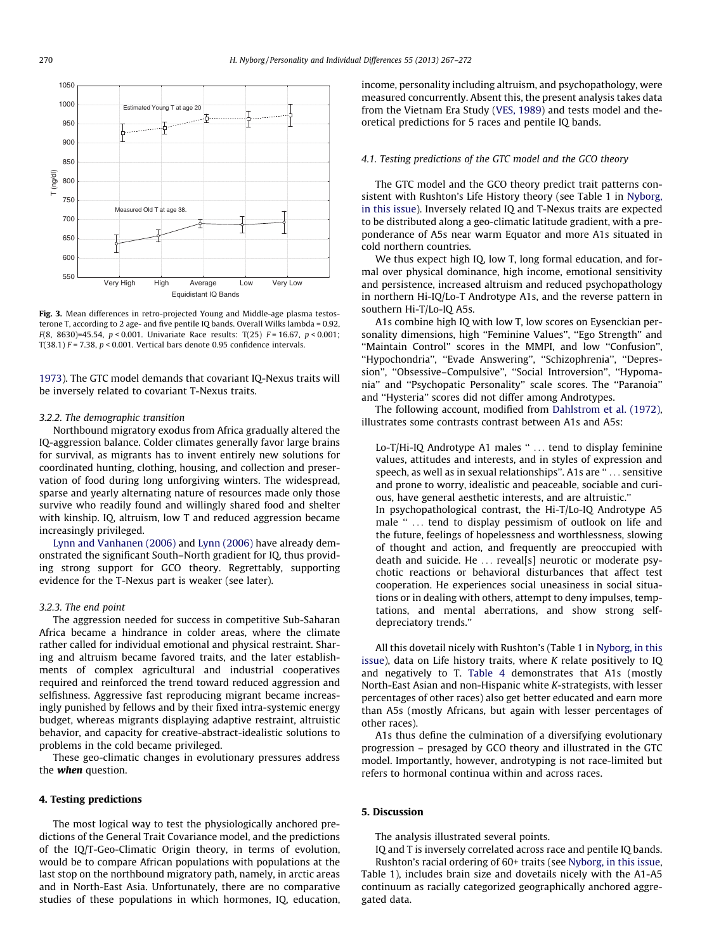<span id="page-3-0"></span>

Fig. 3. Mean differences in retro-projected Young and Middle-age plasma testosterone T, according to 2 age- and five pentile IQ bands. Overall Wilks lambda = 0.92, F(8, 8630)=45.54,  $p < 0.001$ . Univariate Race results: T(25) F = 16.67,  $p < 0.001$ ; T(38.1)  $F = 7.38$ ,  $p < 0.001$ . Vertical bars denote 0.95 confidence intervals.

[1973\)](#page-5-0). The GTC model demands that covariant IQ-Nexus traits will be inversely related to covariant T-Nexus traits.

#### 3.2.2. The demographic transition

Northbound migratory exodus from Africa gradually altered the IQ-aggression balance. Colder climates generally favor large brains for survival, as migrants has to invent entirely new solutions for coordinated hunting, clothing, housing, and collection and preservation of food during long unforgiving winters. The widespread, sparse and yearly alternating nature of resources made only those survive who readily found and willingly shared food and shelter with kinship. IQ, altruism, low T and reduced aggression became increasingly privileged.

[Lynn and Vanhanen \(2006\)](#page-5-0) and [Lynn \(2006\)](#page-5-0) have already demonstrated the significant South–North gradient for IQ, thus providing strong support for GCO theory. Regrettably, supporting evidence for the T-Nexus part is weaker (see later).

#### 3.2.3. The end point

The aggression needed for success in competitive Sub-Saharan Africa became a hindrance in colder areas, where the climate rather called for individual emotional and physical restraint. Sharing and altruism became favored traits, and the later establishments of complex agricultural and industrial cooperatives required and reinforced the trend toward reduced aggression and selfishness. Aggressive fast reproducing migrant became increasingly punished by fellows and by their fixed intra-systemic energy budget, whereas migrants displaying adaptive restraint, altruistic behavior, and capacity for creative-abstract-idealistic solutions to problems in the cold became privileged.

These geo-climatic changes in evolutionary pressures address the **when** question.

# 4. Testing predictions

The most logical way to test the physiologically anchored predictions of the General Trait Covariance model, and the predictions of the IQ/T-Geo-Climatic Origin theory, in terms of evolution, would be to compare African populations with populations at the last stop on the northbound migratory path, namely, in arctic areas and in North-East Asia. Unfortunately, there are no comparative studies of these populations in which hormones, IQ, education, income, personality including altruism, and psychopathology, were measured concurrently. Absent this, the present analysis takes data from the Vietnam Era Study ([VES, 1989\)](#page-5-0) and tests model and theoretical predictions for 5 races and pentile IQ bands.

#### 4.1. Testing predictions of the GTC model and the GCO theory

The GTC model and the GCO theory predict trait patterns consistent with Rushton's Life History theory (see Table 1 in [Nyborg,](#page-5-0) [in this issue](#page-5-0)). Inversely related IQ and T-Nexus traits are expected to be distributed along a geo-climatic latitude gradient, with a preponderance of A5s near warm Equator and more A1s situated in cold northern countries.

We thus expect high IQ, low T, long formal education, and formal over physical dominance, high income, emotional sensitivity and persistence, increased altruism and reduced psychopathology in northern Hi-IQ/Lo-T Androtype A1s, and the reverse pattern in southern Hi-T/Lo-IQ A5s.

A1s combine high IQ with low T, low scores on Eysenckian personality dimensions, high "Feminine Values", "Ego Strength" and ''Maintain Control'' scores in the MMPI, and low ''Confusion'', ''Hypochondria'', ''Evade Answering'', ''Schizophrenia'', ''Depression'', ''Obsessive–Compulsive'', ''Social Introversion'', ''Hypomania'' and ''Psychopatic Personality'' scale scores. The ''Paranoia'' and ''Hysteria'' scores did not differ among Androtypes.

The following account, modified from [Dahlstrom et al. \(1972\),](#page-5-0) illustrates some contrasts contrast between A1s and A5s:

Lo-T/Hi-IQ Androtype A1 males '' ... tend to display feminine values, attitudes and interests, and in styles of expression and speech, as well as in sexual relationships''. A1s are '' ... sensitive and prone to worry, idealistic and peaceable, sociable and curious, have general aesthetic interests, and are altruistic.''

In psychopathological contrast, the Hi-T/Lo-IQ Androtype A5 male '' ... tend to display pessimism of outlook on life and the future, feelings of hopelessness and worthlessness, slowing of thought and action, and frequently are preoccupied with death and suicide. He ... reveal[s] neurotic or moderate psychotic reactions or behavioral disturbances that affect test cooperation. He experiences social uneasiness in social situations or in dealing with others, attempt to deny impulses, temptations, and mental aberrations, and show strong selfdepreciatory trends.''

All this dovetail nicely with Rushton's (Table 1 in [Nyborg, in this](#page-5-0) [issue\)](#page-5-0), data on Life history traits, where K relate positively to IQ and negatively to T. [Table 4](#page-4-0) demonstrates that A1s (mostly North-East Asian and non-Hispanic white K-strategists, with lesser percentages of other races) also get better educated and earn more than A5s (mostly Africans, but again with lesser percentages of other races).

A1s thus define the culmination of a diversifying evolutionary progression – presaged by GCO theory and illustrated in the GTC model. Importantly, however, androtyping is not race-limited but refers to hormonal continua within and across races.

#### 5. Discussion

The analysis illustrated several points.

IQ and T is inversely correlated across race and pentile IQ bands. Rushton's racial ordering of 60+ traits (see [Nyborg, in this issue,](#page-5-0) Table 1), includes brain size and dovetails nicely with the A1-A5 continuum as racially categorized geographically anchored aggregated data.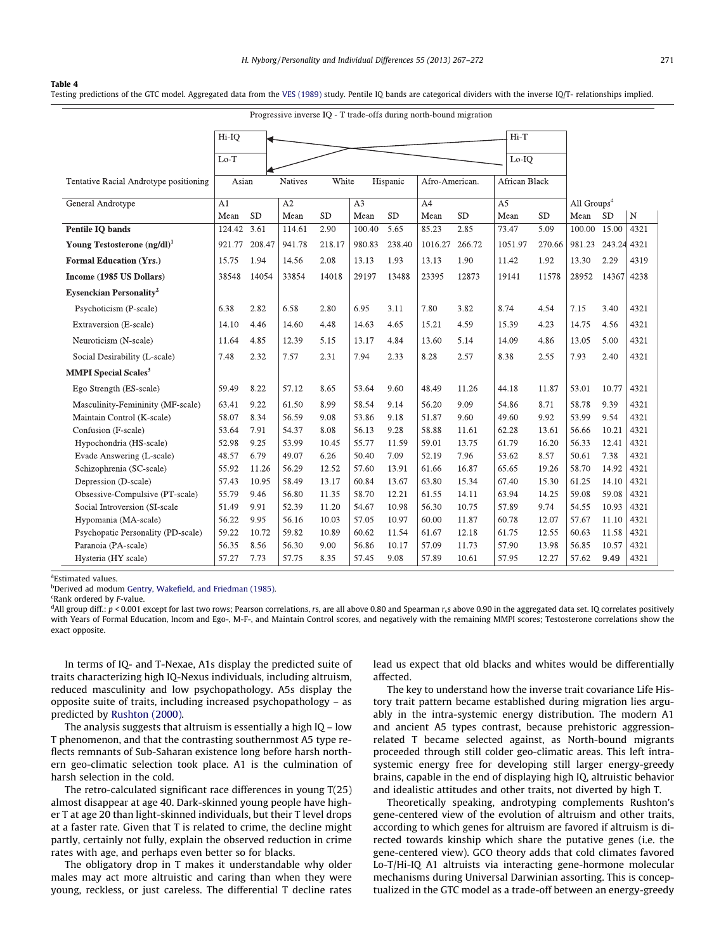#### <span id="page-4-0"></span>Table 4

Testing predictions of the GTC model. Aggregated data from the [VES \(1989\)](#page-5-0) study. Pentile IQ bands are categorical dividers with the inverse IQ/T- relationships implied.

|                                           |                                     |        |                |           |                        |           |                        | Trogressive inverse to - T trade-oris during norm-bound imgration |                      |                |                                 |             |           |  |
|-------------------------------------------|-------------------------------------|--------|----------------|-----------|------------------------|-----------|------------------------|-------------------------------------------------------------------|----------------------|----------------|---------------------------------|-------------|-----------|--|
|                                           | Hi-IQ                               |        |                |           |                        |           |                        |                                                                   | $Hi-T$               |                |                                 |             |           |  |
|                                           |                                     |        |                |           |                        |           |                        |                                                                   |                      |                |                                 |             |           |  |
|                                           | $Lo-T$                              |        |                |           |                        |           |                        |                                                                   | $Lo-IO$              |                |                                 |             |           |  |
| Tentative Racial Androtype positioning    | Asian                               |        | <b>Natives</b> | White     |                        | Hispanic  | Afro-American.         |                                                                   | <b>African Black</b> |                |                                 |             |           |  |
|                                           |                                     |        |                |           |                        |           |                        |                                                                   |                      | A <sub>5</sub> |                                 |             |           |  |
| General Androtype                         | A <sub>1</sub><br><b>SD</b><br>Mean |        | A2<br>Mean     | <b>SD</b> | A <sub>3</sub><br>Mean | <b>SD</b> | A <sub>4</sub><br>Mean | <b>SD</b><br>Mean                                                 |                      | <b>SD</b>      | All Groups <sup>4</sup><br>Mean | <b>SD</b>   | ${\bf N}$ |  |
| <b>Pentile IQ bands</b>                   | 124.42                              | 3.61   | 114.61         | 2.90      | 100.40                 | 5.65      | 85.23                  | 2.85                                                              | 73.47                | 5.09           | 100.00                          | 15.00       | 4321      |  |
| Young Testosterone (ng/dl) <sup>1</sup>   | 921.77                              | 208.47 | 941.78         | 218.17    | 980.83                 | 238.40    | 1016.27                | 266.72                                                            | 1051.97              | 270.66         | 981.23                          | 243.24 4321 |           |  |
|                                           |                                     |        |                |           |                        |           |                        |                                                                   |                      |                |                                 |             |           |  |
| <b>Formal Education (Yrs.)</b>            | 15.75                               | 1.94   | 14.56          | 2.08      | 13.13                  | 1.93      | 13.13                  | 1.90                                                              | 11.42                | 1.92           | 13.30                           | 2.29        | 4319      |  |
| Income (1985 US Dollars)                  | 38548                               | 14054  | 33854          | 14018     | 29197                  | 13488     | 23395                  | 12873                                                             | 19141                | 11578          | 28952                           | 14367       | 4238      |  |
| <b>Eysenckian Personality<sup>2</sup></b> |                                     |        |                |           |                        |           |                        |                                                                   |                      |                |                                 |             |           |  |
| Psychoticism (P-scale)                    | 6.38                                | 2.82   | 6.58           | 2.80      | 6.95                   | 3.11      | 7.80                   | 3.82                                                              | 8.74                 | 4.54           | 7.15                            | 3.40        | 4321      |  |
| Extraversion (E-scale)                    | 14.10                               | 4.46   | 14.60          | 4.48      | 14.63                  | 4.65      | 15.21                  | 4.59                                                              | 15.39                | 4.23           | 14.75                           | 4.56        | 4321      |  |
| Neuroticism (N-scale)                     | 11.64                               | 4.85   | 12.39          | 5.15      | 13.17                  | 4.84      | 13.60                  | 5.14                                                              | 14.09                | 4.86           | 13.05                           | 5.00        | 4321      |  |
| Social Desirability (L-scale)             | 7.48                                | 2.32   | 7.57           | 2.31      | 7.94                   | 2.33      | 8.28                   | 2.57                                                              | 8.38                 | 2.55           | 7.93                            | 2.40        | 4321      |  |
| <b>MMPI Special Scales<sup>3</sup></b>    |                                     |        |                |           |                        |           |                        |                                                                   |                      |                |                                 |             |           |  |
| Ego Strength (ES-scale)                   | 59.49                               | 8.22   | 57.12          | 8.65      | 53.64                  | 9.60      | 48.49                  | 11.26                                                             | 44.18                | 11.87          | 53.01                           | 10.77       | 4321      |  |
| Masculinity-Femininity (MF-scale)         | 63.41                               | 9.22   | 61.50          | 8.99      | 58.54                  | 9.14      | 56.20                  | 9.09                                                              | 54.86                | 8.71           | 58.78                           | 9.39        | 4321      |  |
| Maintain Control (K-scale)                | 58.07                               | 8.34   | 56.59          | 9.08      | 53.86                  | 9.18      | 51.87                  | 9.60                                                              | 49.60                | 9.92           | 53.99                           | 9.54        | 4321      |  |
| Confusion (F-scale)                       | 53.64                               | 7.91   | 54.37          | 8.08      | 56.13                  | 9.28      | 58.88                  | 11.61                                                             | 62.28                | 13.61          | 56.66                           | 10.21       | 4321      |  |
| Hypochondria (HS-scale)                   | 52.98                               | 9.25   | 53.99          | 10.45     | 55.77                  | 11.59     | 59.01                  | 13.75                                                             | 61.79                | 16.20          | 56.33                           | 12.41       | 4321      |  |
| Evade Answering (L-scale)                 | 48.57                               | 6.79   | 49.07          | 6.26      | 50.40                  | 7.09      | 52.19                  | 7.96                                                              | 53.62                | 8.57           | 50.61                           | 7.38        | 4321      |  |
| Schizophrenia (SC-scale)                  | 55.92                               | 11.26  | 56.29          | 12.52     | 57.60                  | 13.91     | 61.66                  | 16.87                                                             | 65.65                | 19.26          | 58.70                           | 14.92       | 4321      |  |
| Depression (D-scale)                      | 57.43                               | 10.95  | 58.49          | 13.17     | 60.84                  | 13.67     | 63.80                  | 15.34                                                             | 67.40                | 15.30          | 61.25                           | 14.10       | 4321      |  |
| Obsessive-Compulsive (PT-scale)           | 55.79                               | 9.46   | 56.80          | 11.35     | 58.70                  | 12.21     | 61.55                  | 14.11                                                             | 63.94                | 14.25          | 59.08                           | 59.08       | 4321      |  |
| Social Introversion (SI-scale             | 51.49                               | 9.91   | 52.39          | 11.20     | 54.67                  | 10.98     | 56.30                  | 10.75                                                             | 57.89                | 9.74           | 54.55                           | 10.93       | 4321      |  |
| Hypomania (MA-scale)                      | 56.22                               | 9.95   | 56.16          | 10.03     | 57.05                  | 10.97     | 60.00                  | 11.87                                                             | 60.78                | 12.07          | 57.67                           | 11.10       | 4321      |  |
| Psychopatic Personality (PD-scale)        | 59.22                               | 10.72  | 59.82          | 10.89     | 60.62                  | 11.54     | 61.67                  | 12.18                                                             | 61.75                | 12.55          | 60.63                           | 11.58       | 4321      |  |
| Paranoia (PA-scale)                       | 56.35                               | 8.56   | 56.30          | 9.00      | 56.86                  | 10.17     | 57.09                  | 11.73                                                             | 57.90                | 13.98          | 56.85                           | 10.57       | 4321      |  |
| Hysteria (HY scale)                       | 57.27                               | 7.73   | 57.75          | 8.35      | 57.45                  | 9.08      | 57.89                  | 10.61                                                             | 57.95                | 12.27          | 57.62                           | 9.49        | 4321      |  |

 $D_{\text{recoerco}(\text{avg})}$  inverse  $\text{IO}$ . T trade offer during neath bound migration

a Estimated values.

b Derived ad modum [Gentry, Wakefield, and Friedman \(1985\)](#page-5-0).

<sup>c</sup>Rank ordered by F-value.

 $^{\rm d}$ All group diff.: p < 0.001 except for last two rows; Pearson correlations, rs, are all above 0.80 and Spearman rss above 0.90 in the aggregated data set. IQ correlates positively with Years of Formal Education, Incom and Ego-, M-F-, and Maintain Control scores, and negatively with the remaining MMPI scores; Testosterone correlations show the exact opposite.

In terms of IQ- and T-Nexae, A1s display the predicted suite of traits characterizing high IQ-Nexus individuals, including altruism, reduced masculinity and low psychopathology. A5s display the opposite suite of traits, including increased psychopathology – as predicted by [Rushton \(2000\).](#page-5-0)

The analysis suggests that altruism is essentially a high IQ – low T phenomenon, and that the contrasting southernmost A5 type reflects remnants of Sub-Saharan existence long before harsh northern geo-climatic selection took place. A1 is the culmination of harsh selection in the cold.

The retro-calculated significant race differences in young T(25) almost disappear at age 40. Dark-skinned young people have higher T at age 20 than light-skinned individuals, but their T level drops at a faster rate. Given that T is related to crime, the decline might partly, certainly not fully, explain the observed reduction in crime rates with age, and perhaps even better so for blacks.

The obligatory drop in T makes it understandable why older males may act more altruistic and caring than when they were young, reckless, or just careless. The differential T decline rates lead us expect that old blacks and whites would be differentially affected.

The key to understand how the inverse trait covariance Life History trait pattern became established during migration lies arguably in the intra-systemic energy distribution. The modern A1 and ancient A5 types contrast, because prehistoric aggressionrelated T became selected against, as North-bound migrants proceeded through still colder geo-climatic areas. This left intrasystemic energy free for developing still larger energy-greedy brains, capable in the end of displaying high IQ, altruistic behavior and idealistic attitudes and other traits, not diverted by high T.

Theoretically speaking, androtyping complements Rushton's gene-centered view of the evolution of altruism and other traits, according to which genes for altruism are favored if altruism is directed towards kinship which share the putative genes (i.e. the gene-centered view). GCO theory adds that cold climates favored Lo-T/Hi-IQ A1 altruists via interacting gene-hormone molecular mechanisms during Universal Darwinian assorting. This is conceptualized in the GTC model as a trade-off between an energy-greedy